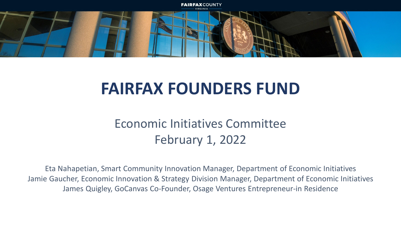

### **FAIRFAX FOUNDERS FUND**

### Economic Initiatives Committee February 1, 2022

Eta Nahapetian, Smart Community Innovation Manager, Department of Economic Initiatives Jamie Gaucher, Economic Innovation & Strategy Division Manager, Department of Economic Initiatives James Quigley, GoCanvas Co-Founder, Osage Ventures Entrepreneur-in Residence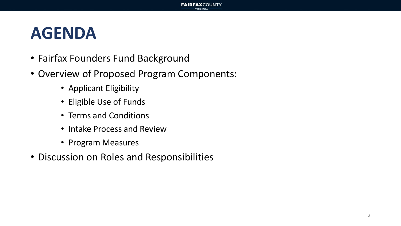### **AGENDA**

- Fairfax Founders Fund Background
- Overview of Proposed Program Components:
	- Applicant Eligibility
	- Eligible Use of Funds
	- Terms and Conditions
	- Intake Process and Review
	- Program Measures
- Discussion on Roles and Responsibilities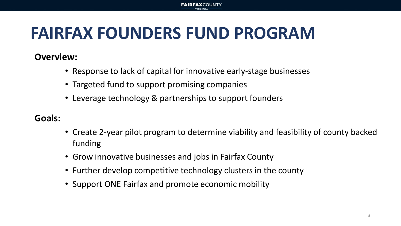#### **FAIRFAX**COUNTY

## **FAIRFAX FOUNDERS FUND PROGRAM**

#### **Overview:**

- Response to lack of capital for innovative early-stage businesses
- Targeted fund to support promising companies
- Leverage technology & partnerships to support founders

#### **Goals:**

- Create 2-year pilot program to determine viability and feasibility of county backed funding
- Grow innovative businesses and jobs in Fairfax County
- Further develop competitive technology clusters in the county
- Support ONE Fairfax and promote economic mobility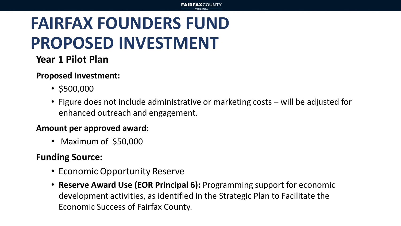## **FAIRFAX FOUNDERS FUND PROPOSED INVESTMENT**

### **Year 1 Pilot Plan**

#### **Proposed Investment:**

- \$500,000
- Figure does not include administrative or marketing costs will be adjusted for enhanced outreach and engagement.

#### **Amount per approved award:**

• Maximum of \$50,000

### **Funding Source:**

- Economic Opportunity Reserve
- **Reserve Award Use (EOR Principal 6):** Programming support for economic development activities, as identified in the Strategic Plan to Facilitate the Economic Success of Fairfax County.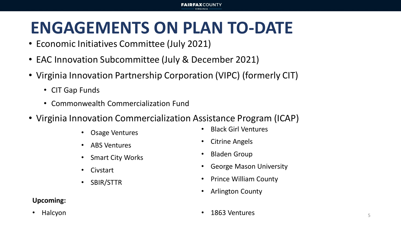### **ENGAGEMENTS ON PLAN TO-DATE**

**FAIRFAXCOUNTY** 

- Economic Initiatives Committee (July 2021)
- EAC Innovation Subcommittee (July & December 2021)
- Virginia Innovation Partnership Corporation (VIPC) (formerly CIT)
	- CIT Gap Funds
	- Commonwealth Commercialization Fund
- Virginia Innovation Commercialization Assistance Program (ICAP)
	- Osage Ventures
	- ABS Ventures
	- **Smart City Works**
	- Civstart
	- SBIR/STTR

#### **Upcoming:**

• Halcyon

- Black Girl Ventures
- Citrine Angels
- Bladen Group
- George Mason University
- Prince William County
- Arlington County
- 1863 Ventures and the state of the state of the state of the state of the state of the state of the state of the state of the state of the state of the state of the state of the state of the state of the state of the state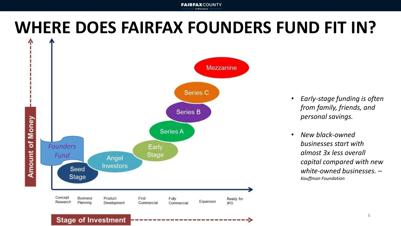#### **FAIRFAXCOUNTY**

### **WHERE DOES FAIRFAX FOUNDERS FUND FIT IN?**



- *Early-stage funding is often from family, friends, and personal savings.*
- *New black-owned businesses start with almost 3x less overall capital compared with new white-owned businesses. – Kauffman Foundation*

#### **Stage of Investment**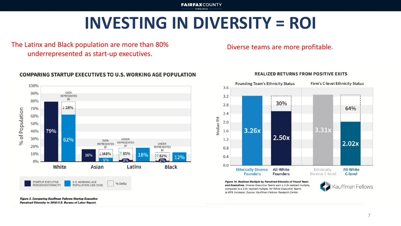**FAIRFAXCOUNTY** VIRGINIA

### **INVESTING IN DIVERSITY = ROI**

The Latinx and Black population are more than 80% underrepresented as start-up executives.

Diverse teams are more profitable.



Figure 3. Comparing Kauffman Fellows Startup Executive Perceived Ethnicity to 2018 U.S. Bureau of Labor Report.

#### **COMPARING STARTUP EXECUTIVES TO U.S. WORKING AGE POPULATION**



Figure 14. Realized Multiple by Perceived Ethnicity of Found Team and Executives. Diverse Executive Teams earn a 3.3x realized multiple, compared to a 2.0x realized multiple, for White Executive Teams (a 65% increase). Source: Kauffman Fellows Research Center.

**REALIZED RETURNS FROM POSITIVE EXITS** 

Kauffman Fellows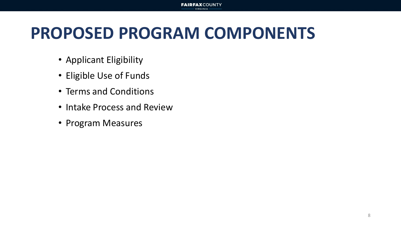## **PROPOSED PROGRAM COMPONENTS**

**FAIRFAXCOUNTY** 

- Applicant Eligibility
- Eligible Use of Funds
- Terms and Conditions
- Intake Process and Review
- Program Measures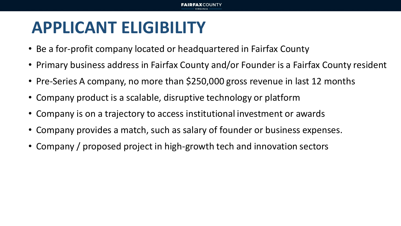## **APPLICANT ELIGIBILITY**

- Be a for-profit company located or headquartered in Fairfax County
- Primary business address in Fairfax County and/or Founder is a Fairfax County resident
- Pre-Series A company, no more than \$250,000 gross revenue in last 12 months
- Company product is a scalable, disruptive technology or platform
- Company is on a trajectory to access institutional investment or awards
- Company provides a match, such as salary of founder or business expenses.
- Company / proposed project in high-growth tech and innovation sectors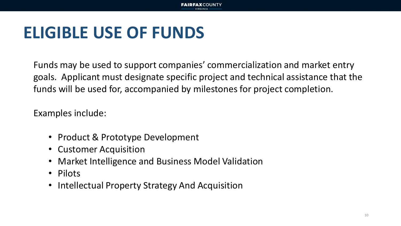## **ELIGIBLE USE OF FUNDS**

Funds may be used to support companies' commercialization and market entry goals. Applicant must designate specific project and technical assistance that the funds will be used for, accompanied by milestones for project completion.

Examples include:

- Product & Prototype Development
- Customer Acquisition
- Market Intelligence and Business Model Validation
- Pilots
- Intellectual Property Strategy And Acquisition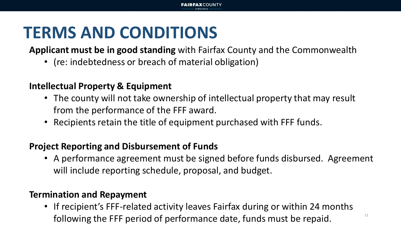## **TERMS AND CONDITIONS**

**Applicant must be in good standing** with Fairfax County and the Commonwealth

**FAIRFAX**COUNTY

• (re: indebtedness or breach of material obligation)

#### **Intellectual Property & Equipment**

- The county will not take ownership of intellectual property that may result from the performance of the FFF award.
- Recipients retain the title of equipment purchased with FFF funds.

### **Project Reporting and Disbursement of Funds**

• A performance agreement must be signed before funds disbursed. Agreement will include reporting schedule, proposal, and budget.

#### **Termination and Repayment**

• If recipient's FFF-related activity leaves Fairfax during or within 24 months following the FFF period of performance date, funds must be repaid.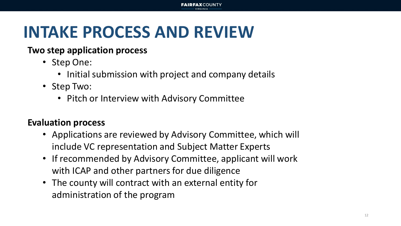## **INTAKE PROCESS AND REVIEW**

#### **Two step application process**

- Step One:
	- Initial submission with project and company details
- Step Two:
	- Pitch or Interview with Advisory Committee

### **Evaluation process**

- Applications are reviewed by Advisory Committee, which will include VC representation and Subject Matter Experts
- If recommended by Advisory Committee, applicant will work with ICAP and other partners for due diligence
- The county will contract with an external entity for administration of the program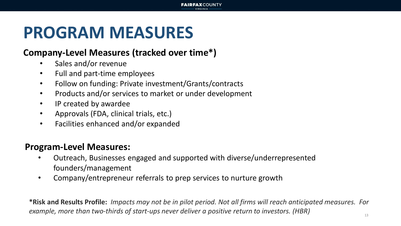### **PROGRAM MEASURES**

#### **Company-Level Measures (tracked over time\*)**

- Sales and/or revenue
- Full and part-time employees
- Follow on funding: Private investment/Grants/contracts
- Products and/or services to market or under development
- IP created by awardee
- Approvals (FDA, clinical trials, etc.)
- Facilities enhanced and/or expanded

#### **Program-Level Measures:**

- Outreach, Businesses engaged and supported with diverse/underrepresented founders/management
- Company/entrepreneur referrals to prep services to nurture growth

**\*Risk and Results Profile:** *Impacts may not be in pilot period. Not all firms will reach anticipated measures. For example, more than two-thirds of start-ups never deliver a positive return to investors. (HBR)*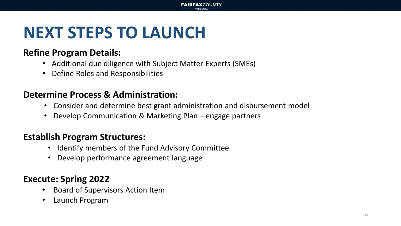## **NEXT STEPS TO LAUNCH**

#### **Refine Program Details:**

- Additional due diligence with Subject Matter Experts (SMEs)
- Define Roles and Responsibilities

### **Determine Process & Administration:**

- Consider and determine best grant administration and disbursement model
- Develop Communication & Marketing Plan engage partners

### **Establish Program Structures:**

- Identify members of the Fund Advisory Committee
- Develop performance agreement language

### **Execute: Spring 2022**

- Board of Supervisors Action Item
- Launch Program